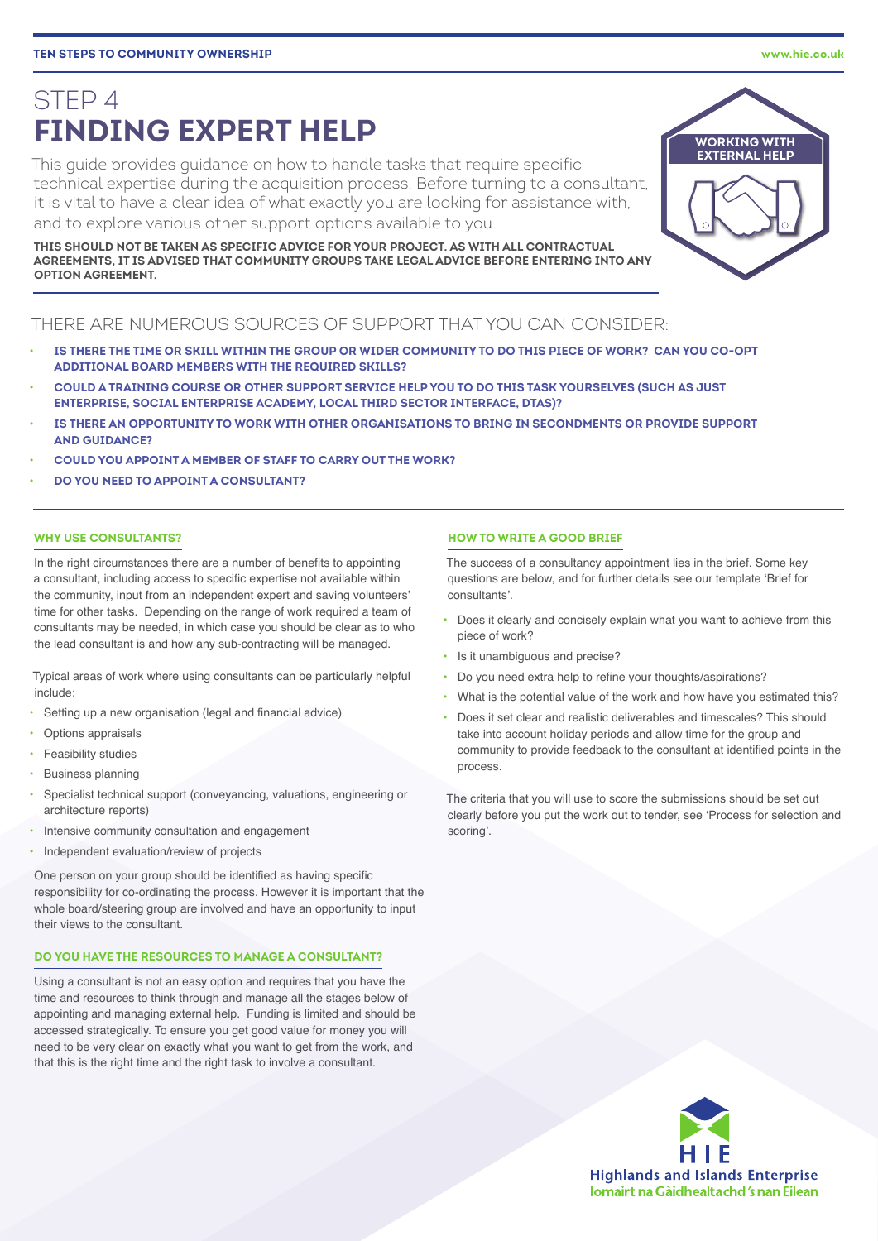# STEP 4 **FINDING EXPERT HELP**

This guide provides guidance on how to handle tasks that require specific technical expertise during the acquisition process. Before turning to a consultant, it is vital to have a clear idea of what exactly you are looking for assistance with, and to explore various other support options available to you.

**THIS SHOULD NOT BE TAKEN AS SPECIFIC ADVICE FOR YOUR PROJECT. AS WITH ALL CONTRACTUAL AGREEMENTS, IT IS ADVISED THAT COMMUNITY GROUPS TAKE LEGAL ADVICE BEFORE ENTERING INTO ANY OPTION AGREEMENT.**

## THERE ARE NUMEROUS SOURCES OF SUPPORT THAT YOU CAN CONSIDER:

- **IS THERE THE TIME OR SKILL WITHIN THE GROUP OR WIDER COMMUNITY TO DO THIS PIECE OF WORK? CAN YOU CO-OPT ADDITIONAL BOARD MEMBERS WITH THE REQUIRED SKILLS?**
- **COULD A TRAINING COURSE OR OTHER SUPPORT SERVICE HELP YOU TO DO THIS TASK YOURSELVES (SUCH AS JUST ENTERPRISE, SOCIAL ENTERPRISE ACADEMY, LOCAL THIRD SECTOR INTERFACE, DTAS)?**
- **IS THERE AN OPPORTUNITY TO WORK WITH OTHER ORGANISATIONS TO BRING IN SECONDMENTS OR PROVIDE SUPPORT AND GUIDANCE?**
- **COULD YOU APPOINT A MEMBER OF STAFF TO CARRY OUT THE WORK?**
- **DO YOU NEED TO APPOINT A CONSULTANT?**

### **WHY USE CONSULTANTS?**

In the right circumstances there are a number of benefits to appointing a consultant, including access to specific expertise not available within the community, input from an independent expert and saving volunteers' time for other tasks. Depending on the range of work required a team of consultants may be needed, in which case you should be clear as to who the lead consultant is and how any sub-contracting will be managed.

Typical areas of work where using consultants can be particularly helpful include:

- Setting up a new organisation (legal and financial advice)
- Options appraisals
- Feasibility studies
- Business planning
- Specialist technical support (conveyancing, valuations, engineering or architecture reports)
- Intensive community consultation and engagement
- Independent evaluation/review of projects

One person on your group should be identified as having specific responsibility for co-ordinating the process. However it is important that the whole board/steering group are involved and have an opportunity to input their views to the consultant.

## **DO YOU HAVE THE RESOURCES TO MANAGE A CONSULTANT?**

Using a consultant is not an easy option and requires that you have the time and resources to think through and manage all the stages below of appointing and managing external help. Funding is limited and should be accessed strategically. To ensure you get good value for money you will need to be very clear on exactly what you want to get from the work, and that this is the right time and the right task to involve a consultant.

## **HOW TO WRITE A GOOD BRIEF**

The success of a consultancy appointment lies in the brief. Some key questions are below, and for further details see our template 'Brief for consultants'.

- Does it clearly and concisely explain what you want to achieve from this piece of work?
- Is it unambiguous and precise?
- Do you need extra help to refine your thoughts/aspirations?
- What is the potential value of the work and how have you estimated this?
- Does it set clear and realistic deliverables and timescales? This should take into account holiday periods and allow time for the group and community to provide feedback to the consultant at identified points in the process.

The criteria that you will use to score the submissions should be set out clearly before you put the work out to tender, see 'Process for selection and scoring'.